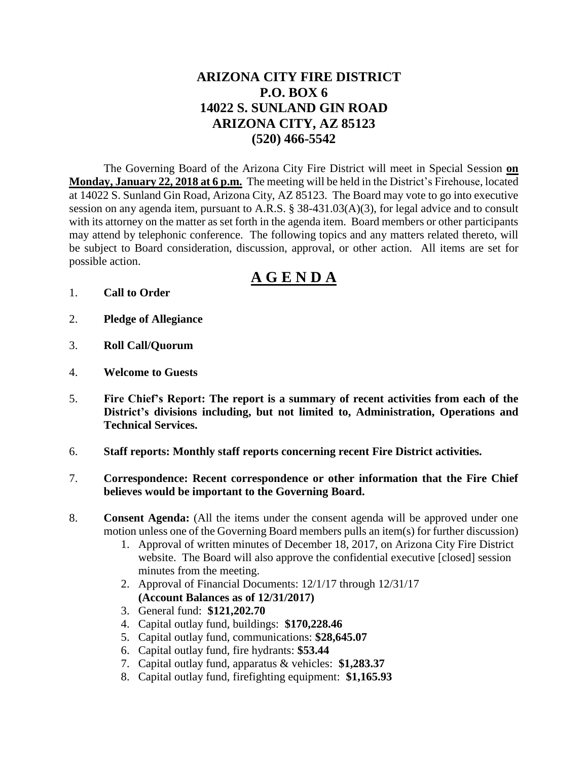## **ARIZONA CITY FIRE DISTRICT P.O. BOX 6 14022 S. SUNLAND GIN ROAD ARIZONA CITY, AZ 85123 (520) 466-5542**

The Governing Board of the Arizona City Fire District will meet in Special Session **on Monday, January 22, 2018 at 6 p.m.** The meeting will be held in the District's Firehouse, located at 14022 S. Sunland Gin Road, Arizona City, AZ 85123. The Board may vote to go into executive session on any agenda item, pursuant to A.R.S. § 38-431.03(A)(3), for legal advice and to consult with its attorney on the matter as set forth in the agenda item. Board members or other participants may attend by telephonic conference. The following topics and any matters related thereto, will be subject to Board consideration, discussion, approval, or other action. All items are set for possible action.

# **A G E N D A**

- 1. **Call to Order**
- 2. **Pledge of Allegiance**
- 3. **Roll Call/Quorum**
- 4. **Welcome to Guests**
- 5. **Fire Chief's Report: The report is a summary of recent activities from each of the District's divisions including, but not limited to, Administration, Operations and Technical Services.**
- 6. **Staff reports: Monthly staff reports concerning recent Fire District activities.**
- 7. **Correspondence: Recent correspondence or other information that the Fire Chief believes would be important to the Governing Board.**
- 8. **Consent Agenda:** (All the items under the consent agenda will be approved under one motion unless one of the Governing Board members pulls an item(s) for further discussion)
	- 1. Approval of written minutes of December 18, 2017, on Arizona City Fire District website. The Board will also approve the confidential executive [closed] session minutes from the meeting.
	- 2. Approval of Financial Documents: 12/1/17 through 12/31/17 **(Account Balances as of 12/31/2017)**
	- 3. General fund: **\$121,202.70**
	- 4. Capital outlay fund, buildings: **\$170,228.46**
	- 5. Capital outlay fund, communications: **\$28,645.07**
	- 6. Capital outlay fund, fire hydrants: **\$53.44**
	- 7. Capital outlay fund, apparatus & vehicles: **\$1,283.37**
	- 8. Capital outlay fund, firefighting equipment: **\$1,165.93**